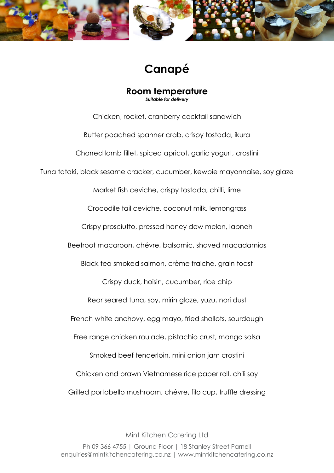

## **Canapé**

**Room temperature** *Suitable for delivery*

Chicken, rocket, cranberry cocktail sandwich Butter poached spanner crab, crispy tostada, ikura Charred lamb fillet, spiced apricot, garlic yogurt, crostini Tuna tataki, black sesame cracker, cucumber, kewpie mayonnaise, soy glaze Market fish ceviche, crispy tostada, chilli, lime Crocodile tail ceviche, coconut milk, lemongrass Crispy prosciutto, pressed honey dew melon, labneh Beetroot macaroon, chévre, balsamic, shaved macadamias Black tea smoked salmon, crème fraiche, grain toast Crispy duck, hoisin, cucumber, rice chip Rear seared tuna, soy, mirin glaze, yuzu, nori dust French white anchovy, egg mayo, fried shallots, sourdough Free range chicken roulade, pistachio crust, mango salsa Smoked beef tenderloin, mini onion jam crostini Chicken and prawn Vietnamese rice paper roll, chili soy Grilled portobello mushroom, chévre, filo cup, truffle dressing

Mint Kitchen Catering Ltd Ph 09 366 4755 | Ground Floor | 18 Stanley Street Parnell enquiries@mintkitchencatering.co.nz | www.mintkitchencatering.co.nz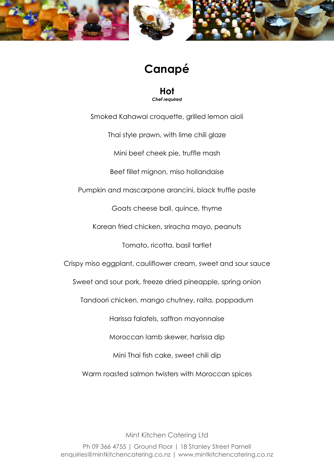

### **Canapé**

**Hot** *Chef required*

Smoked Kahawai croquette, grilled lemon aioli Thai style prawn, with lime chili glaze Mini beef cheek pie, truffle mash Beef fillet mignon, miso hollandaise Pumpkin and mascarpone arancini, black truffle paste Goats cheese ball, quince, thyme Korean fried chicken, sriracha mayo, peanuts Tomato, ricotta, basil tartlet Crispy miso eggplant, cauliflower cream, sweet and sour sauce Sweet and sour pork, freeze dried pineapple, spring onion Tandoori chicken, mango chutney, raita, poppadum Harissa falafels, saffron mayonnaise Moroccan lamb skewer, harissa dip Mini Thai fish cake, sweet chili dip Warm roasted salmon twisters with Moroccan spices

Mint Kitchen Catering Ltd Ph 09 366 4755 | Ground Floor | 18 Stanley Street Parnell enquiries@mintkitchencatering.co.nz | www.mintkitchencatering.co.nz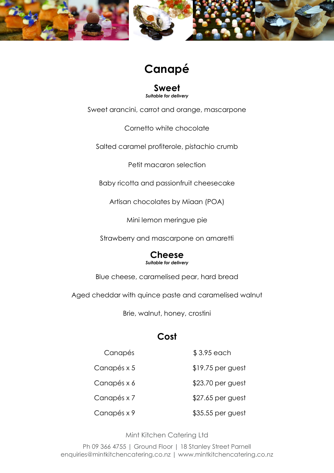

## **Canapé**

**Sweet** *Suitable for delivery*

Sweet arancini, carrot and orange, mascarpone

Cornetto white chocolate

Salted caramel profiterole, pistachio crumb

Petit macaron selection

Baby ricotta and passionfruit cheesecake

Artisan chocolates by Miaan (POA)

Mini lemon meringue pie

Strawberry and mascarpone on amaretti

#### **Cheese** *Suitable for delivery*

Blue cheese, caramelised pear, hard bread

Aged cheddar with quince paste and caramelised walnut

Brie, walnut, honey, crostini

### **Cost**

 Canapés Canapés x 5 Canapés x 6 Canapés x 7 Canapés x 9 \$ 3.95 each \$19.75 per guest \$23.70 per guest \$27.65 per guest \$35.55 per guest

Mint Kitchen Catering Ltd

Ph 09 366 4755 | Ground Floor | 18 Stanley Street Parnell enquiries@mintkitchencatering.co.nz | www.mintkitchencatering.co.nz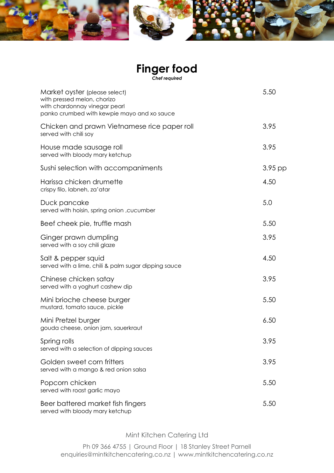# **Finger food**

*Chef required*

| Market oyster (please select)<br>with pressed melon, chorizo<br>with chardonnay vinegar pearl<br>panko crumbed with kewpie mayo and xo sauce | 5.50      |
|----------------------------------------------------------------------------------------------------------------------------------------------|-----------|
| Chicken and prawn Vietnamese rice paper roll<br>served with chili soy                                                                        | 3.95      |
| House made sausage roll<br>served with bloody mary ketchup                                                                                   | 3.95      |
| Sushi selection with accompaniments                                                                                                          | $3.95$ pp |
| Harissa chicken drumette<br>crispy filo, labneh, za'atar                                                                                     | 4.50      |
| Duck pancake<br>served with hoisin, spring onion, cucumber                                                                                   | 5.0       |
| Beef cheek pie, truffle mash                                                                                                                 | 5.50      |
| Ginger prawn dumpling<br>served with a soy chili glaze                                                                                       | 3.95      |
| Salt & pepper squid<br>served with a lime, chili & palm sugar dipping sauce                                                                  | 4.50      |
| Chinese chicken satay<br>served with a yoghurt cashew dip                                                                                    | 3.95      |
| Mini brioche cheese burger<br>mustard, tomato sauce, pickle                                                                                  | 5.50      |
| Mini Pretzel burger<br>gouda cheese, onion jam, sauerkraut                                                                                   | 6.50      |
| Spring rolls<br>served with a selection of dipping sauces                                                                                    | 3.95      |
| Golden sweet corn fritters<br>served with a mango & red onion salsa                                                                          | 3.95      |
| Popcorn chicken<br>served with roast garlic mayo                                                                                             | 5.50      |
| Beer battered market fish fingers<br>served with bloody mary ketchup                                                                         | 5.50      |

Mint Kitchen Catering Ltd